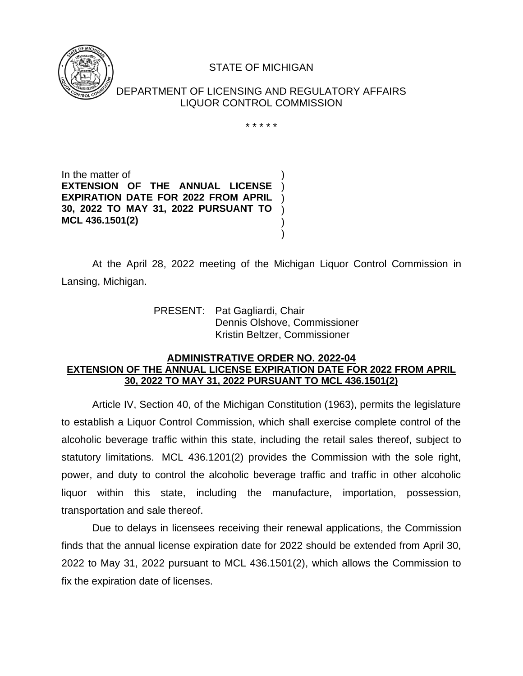

## STATE OF MICHIGAN

DEPARTMENT OF LICENSING AND REGULATORY AFFAIRS LIQUOR CONTROL COMMISSION

\* \* \* \* \*

) ) ) ) ) )

In the matter of **EXTENSION OF THE ANNUAL LICENSE EXPIRATION DATE FOR 2022 FROM APRIL 30, 2022 TO MAY 31, 2022 PURSUANT TO MCL 436.1501(2)**

At the April 28, 2022 meeting of the Michigan Liquor Control Commission in Lansing, Michigan.

> PRESENT: Pat Gagliardi, Chair Dennis Olshove, Commissioner Kristin Beltzer, Commissioner

## **ADMINISTRATIVE ORDER NO. 2022-04 EXTENSION OF THE ANNUAL LICENSE EXPIRATION DATE FOR 2022 FROM APRIL 30, 2022 TO MAY 31, 2022 PURSUANT TO MCL 436.1501(2)**

Article IV, Section 40, of the Michigan Constitution (1963), permits the legislature to establish a Liquor Control Commission, which shall exercise complete control of the alcoholic beverage traffic within this state, including the retail sales thereof, subject to statutory limitations. MCL 436.1201(2) provides the Commission with the sole right, power, and duty to control the alcoholic beverage traffic and traffic in other alcoholic liquor within this state, including the manufacture, importation, possession, transportation and sale thereof.

Due to delays in licensees receiving their renewal applications, the Commission finds that the annual license expiration date for 2022 should be extended from April 30, 2022 to May 31, 2022 pursuant to MCL 436.1501(2), which allows the Commission to fix the expiration date of licenses.